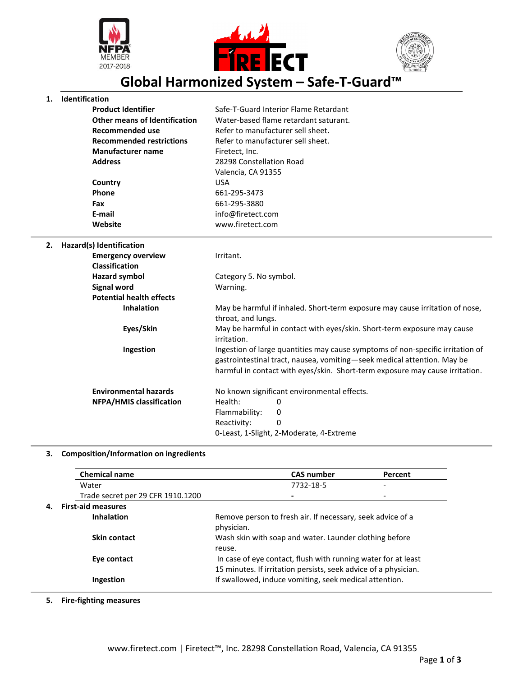





**Global Harmonized System – Safe-T-Guard™**

## **1. Identification**

| <b>Product Identifier</b>       | Safe-T-Guard Interior Flame Retardant |
|---------------------------------|---------------------------------------|
| Other means of Identification   | Water-based flame retardant saturant. |
| Recommended use                 | Refer to manufacturer sell sheet.     |
| <b>Recommended restrictions</b> | Refer to manufacturer sell sheet.     |
| <b>Manufacturer name</b>        | Firetect, Inc.                        |
| <b>Address</b>                  | 28298 Constellation Road              |
|                                 | Valencia, CA 91355                    |
| Country                         | USA                                   |
| Phone                           | 661-295-3473                          |
| Fax                             | 661-295-3880                          |
| E-mail                          | info@firetect.com                     |
| Website                         | www.firetect.com                      |

**2. Hazard(s) Identification Emergency overview** Irritant. **Classification Hazard symbol** Category 5. No symbol. **Signal word** Warning. **Potential health effects**

**Inhalation** May be harmful if inhaled. Short-term exposure may cause irritation of nose, throat, and lungs. **Eyes/Skin** May be harmful in contact with eyes/skin. Short-term exposure may cause irritation. **Ingestion** Ingestion of large quantities may cause symptoms of non-specific irritation of gastrointestinal tract, nausea, vomiting—seek medical attention. May be harmful in contact with eyes/skin. Short-term exposure may cause irritation. **Environmental hazards** No known significant environmental effects. **NFPA/HMIS classification** Health: 0

> Reactivity: 0 0-Least, 1-Slight, 2-Moderate, 4-Extreme

Flammability: 0

## **3. Composition/Information on ingredients**

| <b>Chemical name</b>              | <b>CAS number</b>                                                                                                                | Percent |
|-----------------------------------|----------------------------------------------------------------------------------------------------------------------------------|---------|
| Water                             | 7732-18-5                                                                                                                        | -       |
| Trade secret per 29 CFR 1910.1200 |                                                                                                                                  | -       |
| <b>First-aid measures</b>         |                                                                                                                                  |         |
| <b>Inhalation</b>                 | Remove person to fresh air. If necessary, seek advice of a<br>physician.                                                         |         |
| Skin contact                      | Wash skin with soap and water. Launder clothing before<br>reuse.                                                                 |         |
| Eye contact                       | In case of eye contact, flush with running water for at least<br>15 minutes. If irritation persists, seek advice of a physician. |         |
| Ingestion                         | If swallowed, induce vomiting, seek medical attention.                                                                           |         |

**5. Fire-fighting measures**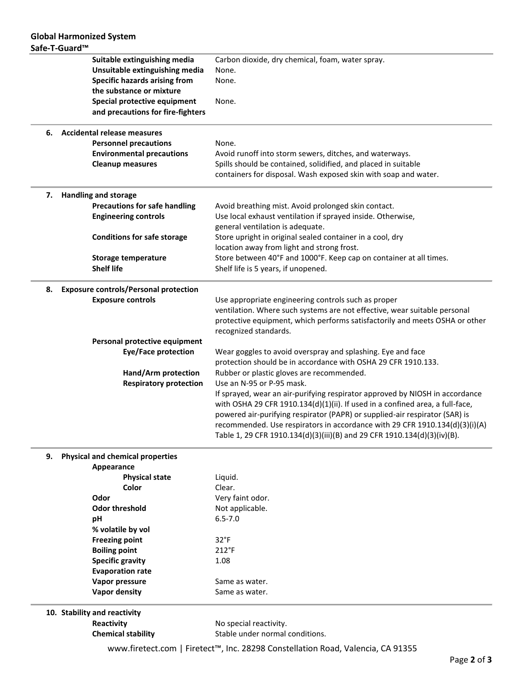| Suitable extinguishing media |                                              | Carbon dioxide, dry chemical, foam, water spray.                              |
|------------------------------|----------------------------------------------|-------------------------------------------------------------------------------|
|                              | Unsuitable extinguishing media               | None.                                                                         |
|                              | <b>Specific hazards arising from</b>         | None.                                                                         |
|                              | the substance or mixture                     |                                                                               |
|                              | Special protective equipment                 | None.                                                                         |
|                              | and precautions for fire-fighters            |                                                                               |
| 6.                           | <b>Accidental release measures</b>           |                                                                               |
|                              | <b>Personnel precautions</b>                 | None.                                                                         |
|                              | <b>Environmental precautions</b>             | Avoid runoff into storm sewers, ditches, and waterways.                       |
|                              | <b>Cleanup measures</b>                      | Spills should be contained, solidified, and placed in suitable                |
|                              |                                              | containers for disposal. Wash exposed skin with soap and water.               |
| 7.                           | <b>Handling and storage</b>                  |                                                                               |
|                              | <b>Precautions for safe handling</b>         | Avoid breathing mist. Avoid prolonged skin contact.                           |
|                              | <b>Engineering controls</b>                  | Use local exhaust ventilation if sprayed inside. Otherwise,                   |
|                              |                                              | general ventilation is adequate.                                              |
|                              | <b>Conditions for safe storage</b>           | Store upright in original sealed container in a cool, dry                     |
|                              |                                              | location away from light and strong frost.                                    |
|                              | <b>Storage temperature</b>                   | Store between 40°F and 1000°F. Keep cap on container at all times.            |
|                              | <b>Shelf life</b>                            | Shelf life is 5 years, if unopened.                                           |
| 8.                           | <b>Exposure controls/Personal protection</b> |                                                                               |
|                              | <b>Exposure controls</b>                     | Use appropriate engineering controls such as proper                           |
|                              |                                              | ventilation. Where such systems are not effective, wear suitable personal     |
|                              |                                              | protective equipment, which performs satisfactorily and meets OSHA or other   |
|                              |                                              | recognized standards.                                                         |
|                              | Personal protective equipment                |                                                                               |
|                              | Eye/Face protection                          | Wear goggles to avoid overspray and splashing. Eye and face                   |
|                              |                                              | protection should be in accordance with OSHA 29 CFR 1910.133.                 |
|                              | Hand/Arm protection                          | Rubber or plastic gloves are recommended.                                     |
|                              | <b>Respiratory protection</b>                | Use an N-95 or P-95 mask.                                                     |
|                              |                                              | If sprayed, wear an air-purifying respirator approved by NIOSH in accordance  |
|                              |                                              | with OSHA 29 CFR 1910.134(d)(1)(ii). If used in a confined area, a full-face, |
|                              |                                              | powered air-purifying respirator (PAPR) or supplied-air respirator (SAR) is   |
|                              |                                              | recommended. Use respirators in accordance with 29 CFR 1910.134(d)(3)(i)(A)   |
|                              |                                              | Table 1, 29 CFR 1910.134(d)(3)(iii)(B) and 29 CFR 1910.134(d)(3)(iv)(B).      |
|                              |                                              |                                                                               |

## **9. Physical and chemical properties**

| Appearance              |                  |  |  |  |
|-------------------------|------------------|--|--|--|
| <b>Physical state</b>   | Liquid.          |  |  |  |
| Color                   | Clear.           |  |  |  |
| Odor                    | Very faint odor. |  |  |  |
| Odor threshold          | Not applicable.  |  |  |  |
| рH                      | $6.5 - 7.0$      |  |  |  |
| % volatile by vol       |                  |  |  |  |
| <b>Freezing point</b>   | $32^{\circ}F$    |  |  |  |
| <b>Boiling point</b>    | $212^{\circ}F$   |  |  |  |
| <b>Specific gravity</b> | 1.08             |  |  |  |
| <b>Evaporation rate</b> |                  |  |  |  |
| Vapor pressure          | Same as water.   |  |  |  |
| Vapor density           | Same as water.   |  |  |  |
|                         |                  |  |  |  |

**10. Stability and reactivity**

**Reactivity No special reactivity. Chemical stability** Stable under normal conditions.

www.firetect.com | Firetect™, Inc. 28298 Constellation Road, Valencia, CA 91355